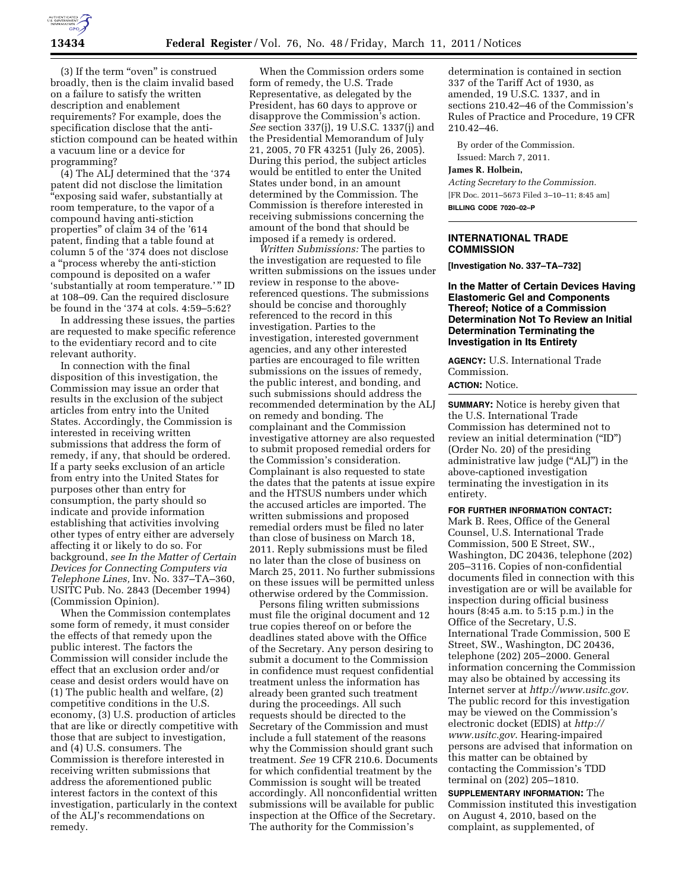

(3) If the term "oven" is construed broadly, then is the claim invalid based on a failure to satisfy the written description and enablement requirements? For example, does the specification disclose that the antistiction compound can be heated within a vacuum line or a device for programming?

(4) The ALJ determined that the '374 patent did not disclose the limitation ''exposing said wafer, substantially at room temperature, to the vapor of a compound having anti-stiction properties'' of claim 34 of the '614 patent, finding that a table found at column 5 of the '374 does not disclose a ''process whereby the anti-stiction compound is deposited on a wafer 'substantially at room temperature.' '' ID at 108–09. Can the required disclosure be found in the '374 at cols. 4:59–5:62?

In addressing these issues, the parties are requested to make specific reference to the evidentiary record and to cite relevant authority.

In connection with the final disposition of this investigation, the Commission may issue an order that results in the exclusion of the subject articles from entry into the United States. Accordingly, the Commission is interested in receiving written submissions that address the form of remedy, if any, that should be ordered. If a party seeks exclusion of an article from entry into the United States for purposes other than entry for consumption, the party should so indicate and provide information establishing that activities involving other types of entry either are adversely affecting it or likely to do so. For background, *see In the Matter of Certain Devices for Connecting Computers via Telephone Lines,* Inv. No. 337–TA–360, USITC Pub. No. 2843 (December 1994) (Commission Opinion).

When the Commission contemplates some form of remedy, it must consider the effects of that remedy upon the public interest. The factors the Commission will consider include the effect that an exclusion order and/or cease and desist orders would have on (1) The public health and welfare, (2) competitive conditions in the U.S. economy, (3) U.S. production of articles that are like or directly competitive with those that are subject to investigation, and (4) U.S. consumers. The Commission is therefore interested in receiving written submissions that address the aforementioned public interest factors in the context of this investigation, particularly in the context of the ALJ's recommendations on remedy.

When the Commission orders some form of remedy, the U.S. Trade Representative, as delegated by the President, has 60 days to approve or disapprove the Commission's action. *See* section 337(j), 19 U.S.C. 1337(j) and the Presidential Memorandum of July 21, 2005, 70 FR 43251 (July 26, 2005). During this period, the subject articles would be entitled to enter the United States under bond, in an amount determined by the Commission. The Commission is therefore interested in receiving submissions concerning the amount of the bond that should be imposed if a remedy is ordered.

*Written Submissions:* The parties to the investigation are requested to file written submissions on the issues under review in response to the abovereferenced questions. The submissions should be concise and thoroughly referenced to the record in this investigation. Parties to the investigation, interested government agencies, and any other interested parties are encouraged to file written submissions on the issues of remedy, the public interest, and bonding, and such submissions should address the recommended determination by the ALJ on remedy and bonding. The complainant and the Commission investigative attorney are also requested to submit proposed remedial orders for the Commission's consideration. Complainant is also requested to state the dates that the patents at issue expire and the HTSUS numbers under which the accused articles are imported. The written submissions and proposed remedial orders must be filed no later than close of business on March 18, 2011. Reply submissions must be filed no later than the close of business on March 25, 2011. No further submissions on these issues will be permitted unless otherwise ordered by the Commission.

Persons filing written submissions must file the original document and 12 true copies thereof on or before the deadlines stated above with the Office of the Secretary. Any person desiring to submit a document to the Commission in confidence must request confidential treatment unless the information has already been granted such treatment during the proceedings. All such requests should be directed to the Secretary of the Commission and must include a full statement of the reasons why the Commission should grant such treatment. *See* 19 CFR 210.6. Documents for which confidential treatment by the Commission is sought will be treated accordingly. All nonconfidential written submissions will be available for public inspection at the Office of the Secretary. The authority for the Commission's

determination is contained in section 337 of the Tariff Act of 1930, as amended, 19 U.S.C. 1337, and in sections 210.42–46 of the Commission's Rules of Practice and Procedure, 19 CFR 210.42–46.

By order of the Commission.

Issued: March 7, 2011.

**James R. Holbein,** 

*Acting Secretary to the Commission.*  [FR Doc. 2011–5673 Filed 3–10–11; 8:45 am] **BILLING CODE 7020–02–P** 

### **INTERNATIONAL TRADE COMMISSION**

**[Investigation No. 337–TA–732]** 

**In the Matter of Certain Devices Having Elastomeric Gel and Components Thereof; Notice of a Commission Determination Not To Review an Initial Determination Terminating the Investigation in Its Entirety** 

**AGENCY:** U.S. International Trade Commission.

# **ACTION:** Notice.

**SUMMARY:** Notice is hereby given that the U.S. International Trade Commission has determined not to review an initial determination (''ID'') (Order No. 20) of the presiding administrative law judge (''ALJ'') in the above-captioned investigation terminating the investigation in its entirety.

#### **FOR FURTHER INFORMATION CONTACT:**

Mark B. Rees, Office of the General Counsel, U.S. International Trade Commission, 500 E Street, SW., Washington, DC 20436, telephone (202) 205–3116. Copies of non-confidential documents filed in connection with this investigation are or will be available for inspection during official business hours (8:45 a.m. to 5:15 p.m.) in the Office of the Secretary, U.S. International Trade Commission, 500 E Street, SW., Washington, DC 20436, telephone (202) 205–2000. General information concerning the Commission may also be obtained by accessing its Internet server at *<http://www.usitc.gov>*. The public record for this investigation may be viewed on the Commission's electronic docket (EDIS) at *[http://](http://www.usitc.gov)  [www.usitc.gov](http://www.usitc.gov)*. Hearing-impaired persons are advised that information on this matter can be obtained by contacting the Commission's TDD terminal on (202) 205–1810.

**SUPPLEMENTARY INFORMATION:** The Commission instituted this investigation on August 4, 2010, based on the complaint, as supplemented, of